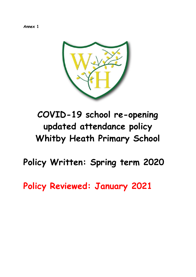**Annex 1**



# **COVID-19 school re-opening updated attendance policy Whitby Heath Primary School**

**Policy Written: Spring term 2020**

**Policy Reviewed: January 2021**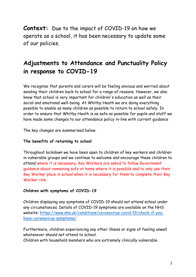**Context:** Due to the impact of COVID-19 on how we operate as a school, it has been necessary to update some of our policies.

## **Adjustments to Attendance and Punctuality Policy in response to COVID-19**

We recognise that parents and carers will be feeling anxious and worried about sending their children back to school for a range of reasons. However, we also know that school is very important for children's education as well as their social and emotional well-being. At Whitby Heath we are doing everything possible to enable as many children as possible to return to school safely. In order to ensure that Whitby Heath is as safe as possible for pupils and staff we have made some changes to our attendance policy in-line with current guidance

The key changes are summarised below.

### **The benefits of returning to school**

Throughout lockdown we have been open to children of key workers and children in vulnerable groups and we continue to welcome and encourage these children to attend where it is necessary. Key Workers are asked to follow Government guidance about remaining safe at home where it is possible and to only use their Key Worker place in school when it is necessary for them to complete their Key Worker role.

### **Children with symptoms of COVID-19**

Children displaying any symptoms of COVID-19 should not attend school under any circumstances. Details of COVID-19 symptoms are available on the NHS website: [https://www.nhs.uk/conditions/coronavirus-covid-19/check-if-you](https://www.nhs.uk/conditions/coronavirus-covid-19/check-if-you-have-coronavirus-symptoms/)[have-coronavirus-symptoms/](https://www.nhs.uk/conditions/coronavirus-covid-19/check-if-you-have-coronavirus-symptoms/)

Furthermore, children experiencing any other illness or signs of feeling unwell whatsoever should not attend to school.

Children with household members who are extremely clinically vulnerable